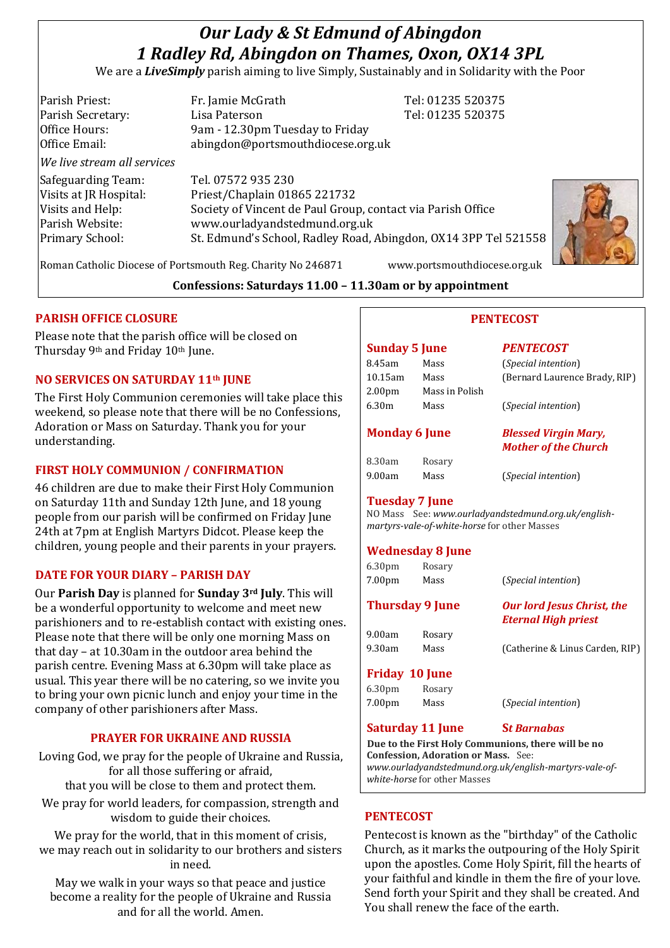# *Our Lady & St Edmund of Abingdon 1 Radley Rd, Abingdon on Thames, Oxon, OX14 3PL*

We are a *LiveSimply* parish aiming to live Simply, Sustainably and in Solidarity with the Poor

| Parish Priest:              | Fr. Jamie McGrath                                               | Tel: 01235 520375 |
|-----------------------------|-----------------------------------------------------------------|-------------------|
| Parish Secretary:           | Lisa Paterson                                                   | Tel: 01235 520375 |
| Office Hours:               | 9am - 12.30pm Tuesday to Friday                                 |                   |
| Office Email:               | abingdon@portsmouthdiocese.org.uk                               |                   |
| We live stream all services |                                                                 |                   |
| Safeguarding Team:          | Tel. 07572 935 230                                              |                   |
| Visits at JR Hospital:      | Priest/Chaplain 01865 221732                                    |                   |
| Visits and Help:            | Society of Vincent de Paul Group, contact via Parish Office     |                   |
| Parish Website:             | www.ourladyandstedmund.org.uk                                   |                   |
| <b>Primary School:</b>      | St. Edmund's School, Radley Road, Abingdon, OX14 3PP Tel 521558 |                   |
|                             |                                                                 |                   |



**Confessions: Saturdays 11.00 – 11.30am or by appointment**

#### **PARISH OFFICE CLOSURE**

Please note that the parish office will be closed on Thursday 9th and Friday 10th June.

#### **NO SERVICES ON SATURDAY 11th JUNE**

The First Holy Communion ceremonies will take place this weekend, so please note that there will be no Confessions, Adoration or Mass on Saturday. Thank you for your understanding.

#### **FIRST HOLY COMMUNION / CONFIRMATION**

46 children are due to make their First Holy Communion on Saturday 11th and Sunday 12th June, and 18 young people from our parish will be confirmed on Friday June 24th at 7pm at English Martyrs Didcot. Please keep the children, young people and their parents in your prayers.

#### **DATE FOR YOUR DIARY – PARISH DAY**

Our **Parish Day** is planned for **Sunday 3rd July**. This will be a wonderful opportunity to welcome and meet new parishioners and to re-establish contact with existing ones. Please note that there will be only one morning Mass on that day – at 10.30am in the outdoor area behind the parish centre. Evening Mass at 6.30pm will take place as usual. This year there will be no catering, so we invite you to bring your own picnic lunch and enjoy your time in the company of other parishioners after Mass.

#### **PRAYER FOR UKRAINE AND RUSSIA**

Loving God, we pray for the people of Ukraine and Russia, for all those suffering or afraid, that you will be close to them and protect them.

We pray for world leaders, for compassion, strength and wisdom to guide their choices.

We pray for the world, that in this moment of crisis, we may reach out in solidarity to our brothers and sisters in need.

May we walk in your ways so that peace and justice become a reality for the people of Ukraine and Russia and for all the world. Amen.

Roman Catholic Diocese of Portsmouth Reg. Charity No 246871 www.portsmouthdiocese.org.uk

**PENTECOST**

| <b>Sunday 5 June</b> |                | <b>PENTECOST</b>     |
|----------------------|----------------|----------------------|
| 8.45am               | Mass           | (Special intentional |
| 10.15am              | Mass           | (Bernard Laure       |
| 2.00 <sub>pm</sub>   | Mass in Polish |                      |
| 6.30m                | Mass           | (Special intentional |

| 8.30am | Rosary |
|--------|--------|
| 9.00am | Mass   |

8.45am Mass (*Special intention*) aurence Brady, RIP)

 $t$ *ention*)

#### **Monday 6 June** *Blessed Virgin Mary, Mother of the Church*

(*Special intention*)

#### **Tuesday 7 June**

NO Mass See: *www.ourladyandstedmund.org.uk/englishmartyrs-vale-of-white-horse* for other Masses

#### **Wednesday 8 June**

| 6.30 <sub>pm</sub><br>7.00 <sub>pm</sub> | Rosary<br>Mass  | (Special intention)                                             |
|------------------------------------------|-----------------|-----------------------------------------------------------------|
|                                          | Thursday 9 June | <b>Our lord Jesus Christ, the</b><br><b>Eternal High priest</b> |
| 9.00am<br>9.30am                         | Rosary<br>Mass  | (Catherine & Linus Carden, RIP)                                 |
|                                          |                 |                                                                 |

#### **Friday 10 June**

| 6.30 <sub>pm</sub> | Rosary |                              |
|--------------------|--------|------------------------------|
| 7.00 <sub>pm</sub> | Mass   | ( <i>Special intention</i> ) |

#### **Saturday 11 June S***t Barnabas*

**Due to the First Holy Communions, there will be no Confession, Adoration or Mass.** See: *www.ourladyandstedmund.org.uk/english-martyrs-vale-ofwhite-horse* for other Masses

#### **PENTECOST**

Pentecost is known as the "birthday" of the Catholic Church, as it marks the outpouring of the Holy Spirit upon the apostles. Come Holy Spirit, fill the hearts of your faithful and kindle in them the fire of your love. Send forth your Spirit and they shall be created. And You shall renew the face of the earth.